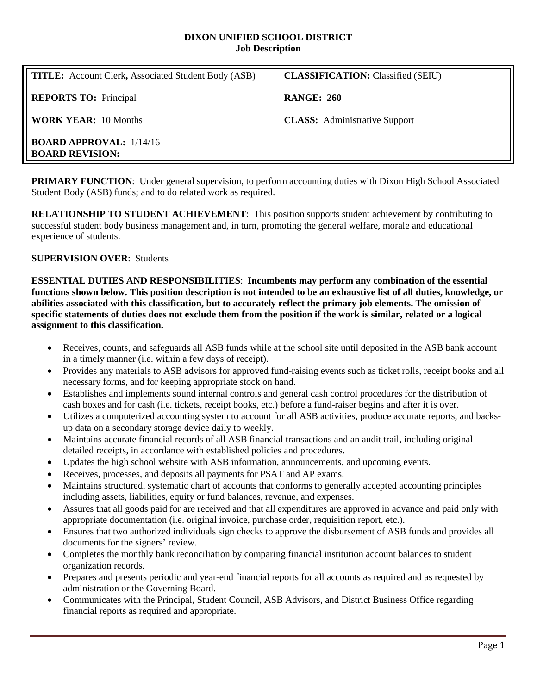#### **DIXON UNIFIED SCHOOL DISTRICT Job Description**

| <b>TITLE:</b> Account Clerk, Associated Student Body (ASB) | <b>CLASSIFICATION:</b> Classified (SEIU) |
|------------------------------------------------------------|------------------------------------------|
| <b>REPORTS TO:</b> Principal                               | <b>RANGE: 260</b>                        |
| <b>WORK YEAR: 10 Months</b>                                | <b>CLASS:</b> Administrative Support     |
| <b>BOARD APPROVAL:</b> 1/14/16<br><b>BOARD REVISION:</b>   |                                          |

**PRIMARY FUNCTION:** Under general supervision, to perform accounting duties with Dixon High School Associated Student Body (ASB) funds; and to do related work as required.

**RELATIONSHIP TO STUDENT ACHIEVEMENT**: This position supports student achievement by contributing to successful student body business management and, in turn, promoting the general welfare, morale and educational experience of students.

## **SUPERVISION OVER**: Students

**ESSENTIAL DUTIES AND RESPONSIBILITIES**: **Incumbents may perform any combination of the essential functions shown below. This position description is not intended to be an exhaustive list of all duties, knowledge, or abilities associated with this classification, but to accurately reflect the primary job elements. The omission of specific statements of duties does not exclude them from the position if the work is similar, related or a logical assignment to this classification.**

- Receives, counts, and safeguards all ASB funds while at the school site until deposited in the ASB bank account in a timely manner (i.e. within a few days of receipt).
- Provides any materials to ASB advisors for approved fund-raising events such as ticket rolls, receipt books and all necessary forms, and for keeping appropriate stock on hand.
- Establishes and implements sound internal controls and general cash control procedures for the distribution of cash boxes and for cash (i.e. tickets, receipt books, etc.) before a fund-raiser begins and after it is over.
- Utilizes a computerized accounting system to account for all ASB activities, produce accurate reports, and backsup data on a secondary storage device daily to weekly.
- Maintains accurate financial records of all ASB financial transactions and an audit trail, including original detailed receipts, in accordance with established policies and procedures.
- Updates the high school website with ASB information, announcements, and upcoming events.
- Receives, processes, and deposits all payments for PSAT and AP exams.
- Maintains structured, systematic chart of accounts that conforms to generally accepted accounting principles including assets, liabilities, equity or fund balances, revenue, and expenses.
- Assures that all goods paid for are received and that all expenditures are approved in advance and paid only with appropriate documentation (i.e. original invoice, purchase order, requisition report, etc.).
- Ensures that two authorized individuals sign checks to approve the disbursement of ASB funds and provides all documents for the signers' review.
- Completes the monthly bank reconciliation by comparing financial institution account balances to student organization records.
- Prepares and presents periodic and year-end financial reports for all accounts as required and as requested by administration or the Governing Board.
- Communicates with the Principal, Student Council, ASB Advisors, and District Business Office regarding financial reports as required and appropriate.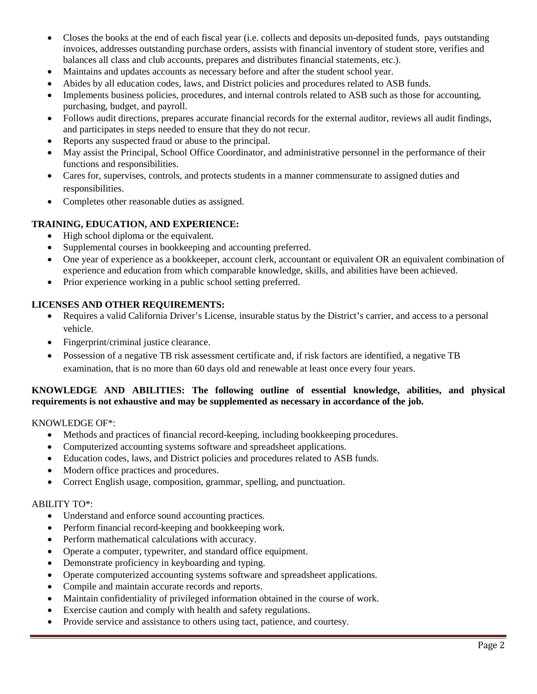- Closes the books at the end of each fiscal year (i.e. collects and deposits un-deposited funds, pays outstanding invoices, addresses outstanding purchase orders, assists with financial inventory of student store, verifies and balances all class and club accounts, prepares and distributes financial statements, etc.).
- Maintains and updates accounts as necessary before and after the student school year.
- Abides by all education codes, laws, and District policies and procedures related to ASB funds.
- Implements business policies, procedures, and internal controls related to ASB such as those for accounting, purchasing, budget, and payroll.
- Follows audit directions, prepares accurate financial records for the external auditor, reviews all audit findings, and participates in steps needed to ensure that they do not recur.
- Reports any suspected fraud or abuse to the principal.
- May assist the Principal, School Office Coordinator, and administrative personnel in the performance of their functions and responsibilities.
- Cares for, supervises, controls, and protects students in a manner commensurate to assigned duties and responsibilities.
- Completes other reasonable duties as assigned.

# **TRAINING, EDUCATION, AND EXPERIENCE:**

- High school diploma or the equivalent.
- Supplemental courses in bookkeeping and accounting preferred.
- One year of experience as a bookkeeper, account clerk, accountant or equivalent OR an equivalent combination of experience and education from which comparable knowledge, skills, and abilities have been achieved.
- Prior experience working in a public school setting preferred.

## **LICENSES AND OTHER REQUIREMENTS:**

- Requires a valid California Driver's License, insurable status by the District's carrier, and access to a personal vehicle.
- Fingerprint/criminal justice clearance.
- Possession of a negative TB risk assessment certificate and, if risk factors are identified, a negative TB examination, that is no more than 60 days old and renewable at least once every four years.

#### **KNOWLEDGE AND ABILITIES: The following outline of essential knowledge, abilities, and physical requirements is not exhaustive and may be supplemented as necessary in accordance of the job.**

KNOWLEDGE OF\*:

- Methods and practices of financial record-keeping, including bookkeeping procedures.
- Computerized accounting systems software and spreadsheet applications.
- Education codes, laws, and District policies and procedures related to ASB funds.
- Modern office practices and procedures.
- Correct English usage, composition, grammar, spelling, and punctuation.

#### ABILITY TO\*:

- Understand and enforce sound accounting practices.
- Perform financial record-keeping and bookkeeping work.
- Perform mathematical calculations with accuracy.
- Operate a computer, typewriter, and standard office equipment.
- Demonstrate proficiency in keyboarding and typing.
- Operate computerized accounting systems software and spreadsheet applications.
- Compile and maintain accurate records and reports.
- Maintain confidentiality of privileged information obtained in the course of work.
- Exercise caution and comply with health and safety regulations.
- Provide service and assistance to others using tact, patience, and courtesy.